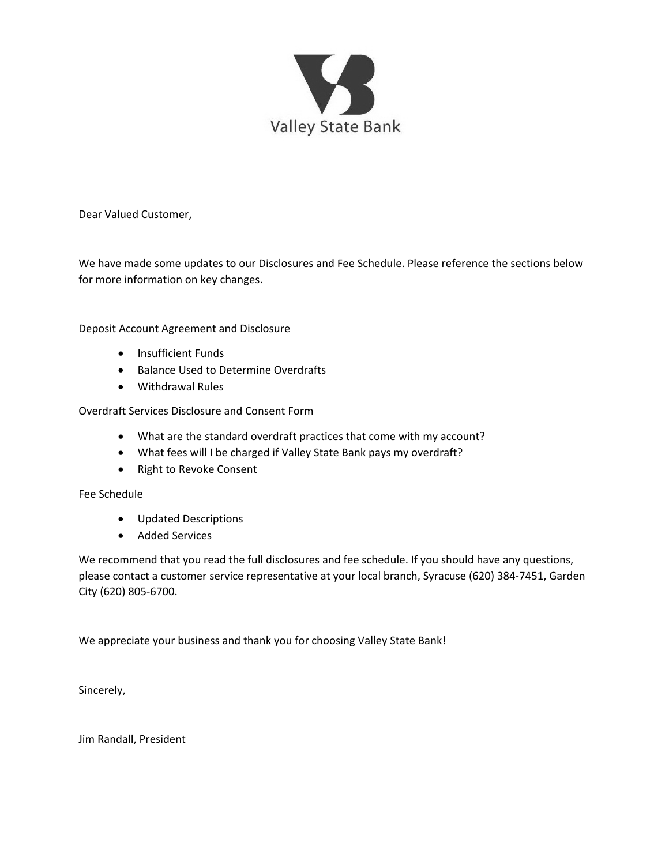

Dear Valued Customer,

We have made some updates to our Disclosures and Fee Schedule. Please reference the sections below for more information on key changes.

Deposit Account Agreement and Disclosure

- Insufficient Funds
- Balance Used to Determine Overdrafts
- Withdrawal Rules

Overdraft Services Disclosure and Consent Form

- What are the standard overdraft practices that come with my account?
- What fees will I be charged if Valley State Bank pays my overdraft?
- Right to Revoke Consent

Fee Schedule

- Updated Descriptions
- Added Services

We recommend that you read the full disclosures and fee schedule. If you should have any questions, please contact a customer service representative at your local branch, Syracuse (620) 384-7451, Garden City (620) 805-6700.

We appreciate your business and thank you for choosing Valley State Bank!

Sincerely,

Jim Randall, President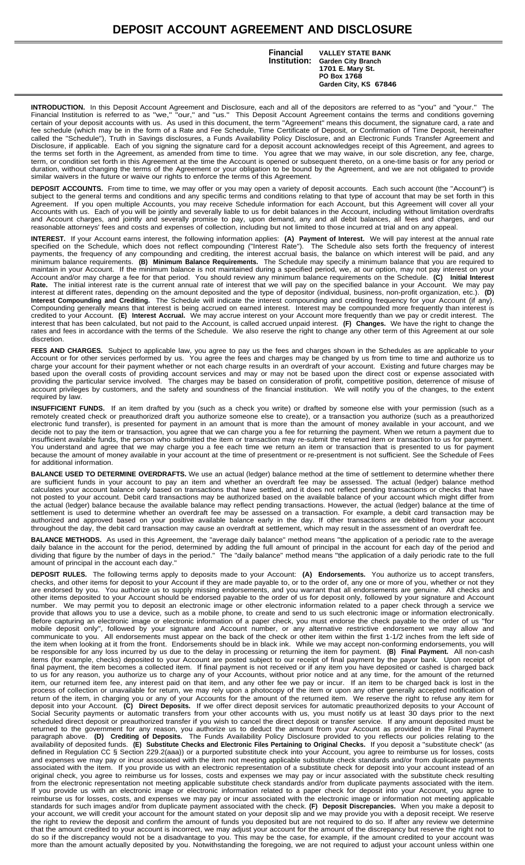# **DEPOSIT ACCOUNT AGREEMENT AND DISCLOSURE**

**Institution: Financial VALLEY STATE BANK**

**Garden City Branch 1701 E. Mary St. PO Box 1768 Garden City, KS 67846**

**INTRODUCTION.** In this Deposit Account Agreement and Disclosure, each and all of the depositors are referred to as "you" and "your." The Financial Institution is referred to as "we," "our," and "us." This Deposit Account Agreement contains the terms and conditions governing certain of your deposit accounts with us. As used in this document, the term "Agreement" means this document, the signature card, a rate and fee schedule (which may be in the form of a Rate and Fee Schedule, Time Certificate of Deposit, or Confirmation of Time Deposit, hereinafter called the "Schedule"), Truth in Savings disclosures, a Funds Availability Policy Disclosure, and an Electronic Funds Transfer Agreement and Disclosure, if applicable. Each of you signing the signature card for a deposit account acknowledges receipt of this Agreement, and agrees to the terms set forth in the Agreement, as amended from time to time. You agree that we may waive, in our sole discretion, any fee, charge, term, or condition set forth in this Agreement at the time the Account is opened or subsequent thereto, on a one-time basis or for any period or duration, without changing the terms of the Agreement or your obligation to be bound by the Agreement, and we are not obligated to provide similar waivers in the future or waive our rights to enforce the terms of this Agreement.

**DEPOSIT ACCOUNTS.** From time to time, we may offer or you may open a variety of deposit accounts. Each such account (the "Account") is subject to the general terms and conditions and any specific terms and conditions relating to that type of account that may be set forth in this Agreement. If you open multiple Accounts, you may receive Schedule information for each Account, but this Agreement will cover all your Accounts with us. Each of you will be jointly and severally liable to us for debit balances in the Account, including without limitation overdrafts and Account charges, and jointly and severally promise to pay, upon demand, any and all debit balances, all fees and charges, and our reasonable attorneys' fees and costs and expenses of collection, including but not limited to those incurred at trial and on any appeal.

**INTEREST.** If your Account earns interest, the following information applies: **(A) Payment of Interest.** We will pay interest at the annual rate specified on the Schedule, which does not reflect compounding ("Interest Rate"). The Schedule also sets forth the frequency of interest payments, the frequency of any compounding and crediting, the interest accrual basis, the balance on which interest will be paid, and any minimum balance requirements. **(B) Minimum Balance Requirements.** The Schedule may specify a minimum balance that you are required to maintain in your Account. If the minimum balance is not maintained during a specified period, we, at our option, may not pay interest on your Account and/or may charge a fee for that period. You should review any minimum balance requirements on the Schedule. **(C) Initial Interest Rate.** The initial interest rate is the current annual rate of interest that we will pay on the specified balance in your Account. We may pay interest at different rates, depending on the amount deposited and the type of depositor (individual, business, non-profit organization, etc.). **(D) Interest Compounding and Crediting.** The Schedule will indicate the interest compounding and crediting frequency for your Account (if any). Compounding generally means that interest is being accrued on earned interest. Interest may be compounded more frequently than interest is credited to your Account. **(E) Interest Accrual.** We may accrue interest on your Account more frequently than we pay or credit interest. The interest that has been calculated, but not paid to the Account, is called accrued unpaid interest. **(F) Changes.** We have the right to change the rates and fees in accordance with the terms of the Schedule. We also reserve the right to change any other term of this Agreement at our sole discretion.

**FEES AND CHARGES.** Subject to applicable law, you agree to pay us the fees and charges shown in the Schedules as are applicable to your Account or for other services performed by us. You agree the fees and charges may be changed by us from time to time and authorize us to charge your account for their payment whether or not each charge results in an overdraft of your account. Existing and future charges may be based upon the overall costs of providing account services and may or may not be based upon the direct cost or expense associated with providing the particular service involved. The charges may be based on consideration of profit, competitive position, deterrence of misuse of account privileges by customers, and the safety and soundness of the financial institution. We will notify you of the changes, to the extent required by law

**INSUFFICIENT FUNDS.** If an item drafted by you (such as a check you write) or drafted by someone else with your permission (such as a remotely created check or preauthorized draft you authorize someone else to create), or a transaction you authorize (such as a preauthorized electronic fund transfer), is presented for payment in an amount that is more than the amount of money available in your account, and we decide not to pay the item or transaction, you agree that we can charge you a fee for returning the payment. When we return a payment due to insufficient available funds, the person who submitted the item or transaction may re-submit the returned item or transaction to us for payment. You understand and agree that we may charge you a fee each time we return an item or transaction that is presented to us for payment because the amount of money available in your account at the time of presentment or re-presentment is not sufficient. See the Schedule of Fees for additional information.

**BALANCE USED TO DETERMINE OVERDRAFTS.** We use an actual (ledger) balance method at the time of settlement to determine whether there are sufficient funds in your account to pay an item and whether an overdraft fee may be assessed. The actual (ledger) balance method calculates your account balance only based on transactions that have settled, and it does not reflect pending transactions or checks that have not posted to your account. Debit card transactions may be authorized based on the available balance of your account which might differ from the actual (ledger) balance because the available balance may reflect pending transactions. However, the actual (ledger) balance at the time of settlement is used to determine whether an overdraft fee may be assessed on a transaction. For example, a debit card transaction may be authorized and approved based on your positive available balance early in the day. If other transactions are debited from your account throughout the day, the debit card transaction may cause an overdraft at settlement, which may result in the assessment of an overdraft fee.

**BALANCE METHODS.** As used in this Agreement, the "average daily balance" method means "the application of a periodic rate to the average daily balance in the account for the period, determined by adding the full amount of principal in the account for each day of the period and dividing that figure by the number of days in the period." The "daily balance" method means "the application of a daily periodic rate to the full amount of principal in the account each day."

**DEPOSIT RULES.** The following terms apply to deposits made to your Account: **(A) Endorsements.** You authorize us to accept transfers, checks, and other items for deposit to your Account if they are made payable to, or to the order of, any one or more of you, whether or not they are endorsed by you. You authorize us to supply missing endorsements, and you warrant that all endorsements are genuine. All checks and other items deposited to your Account should be endorsed payable to the order of us for deposit only, followed by your signature and Account number. We may permit you to deposit an electronic image or other electronic information related to a paper check through a service we provide that allows you to use a device, such as a mobile phone, to create and send to us such electronic image or information electronically. Before capturing an electronic image or electronic information of a paper check, you must endorse the check payable to the order of us "for mobile deposit only", followed by your signature and Account number, or any alternative restrictive endorsement we may allow and communicate to you. All endorsements must appear on the back of the check or other item within the first 1-1/2 inches from the left side of the item when looking at it from the front. Endorsements should be in black ink. While we may accept non-conforming endorsements, you will be responsible for any loss incurred by us due to the delay in processing or returning the item for payment. **(B) Final Payment.** All non-cash items (for example, checks) deposited to your Account are posted subject to our receipt of final payment by the payor bank. Upon receipt of final payment, the item becomes a collected item. If final payment is not received or if any item you have deposited or cashed is charged back to us for any reason, you authorize us to charge any of your Accounts, without prior notice and at any time, for the amount of the returned item, our returned item fee, any interest paid on that item, and any other fee we pay or incur. If an item to be charged back is lost in the process of collection or unavailable for return, we may rely upon a photocopy of the item or upon any other generally accepted notification of return of the item, in charging you or any of your Accounts for the amount of the returned item. We reserve the right to refuse any item for deposit into your Account. **(C) Direct Deposits.** If we offer direct deposit services for automatic preauthorized deposits to your Account of Social Security payments or automatic transfers from your other accounts with us, you must notify us at least 30 days prior to the next scheduled direct deposit or preauthorized transfer if you wish to cancel the direct deposit or transfer service. If any amount deposited must be returned to the government for any reason, you authorize us to deduct the amount from your Account as provided in the Final Payment paragraph above. **(D) Crediting of Deposits.** The Funds Availability Policy Disclosure provided to you reflects our policies relating to the availability of deposited funds. **(E) Substitute Checks and Electronic Files Pertaining to Original Checks.** If you deposit a "substitute check" (as defined in Regulation CC § Section 229.2(aaa)) or a purported substitute check into your Account, you agree to reimburse us for losses, costs and expenses we may pay or incur associated with the item not meeting applicable substitute check standards and/or from duplicate payments associated with the item. If you provide us with an electronic representation of a substitute check for deposit into your account instead of an original check, you agree to reimburse us for losses, costs and expenses we may pay or incur associated with the substitute check resulting from the electronic representation not meeting applicable substitute check standards and/or from duplicate payments associated with the item. If you provide us with an electronic image or electronic information related to a paper check for deposit into your Account, you agree to reimburse us for losses, costs, and expenses we may pay or incur associated with the electronic image or information not meeting applicable standards for such images and/or from duplicate payment associated with the check. **(F) Deposit Discrepancies.** When you make a deposit to your account, we will credit your account for the amount stated on your deposit slip and we may provide you with a deposit receipt. We reserve the right to review the deposit and confirm the amount of funds you deposited but are not required to do so. If after any review we determine that the amount credited to your account is incorrect, we may adjust your account for the amount of the discrepancy but reserve the right not to do so if the discrepancy would not be a disadvantage to you. This may be the case, for example, if the amount credited to your account was more than the amount actually deposited by you. Notwithstanding the foregoing, we are not required to adjust your account unless within one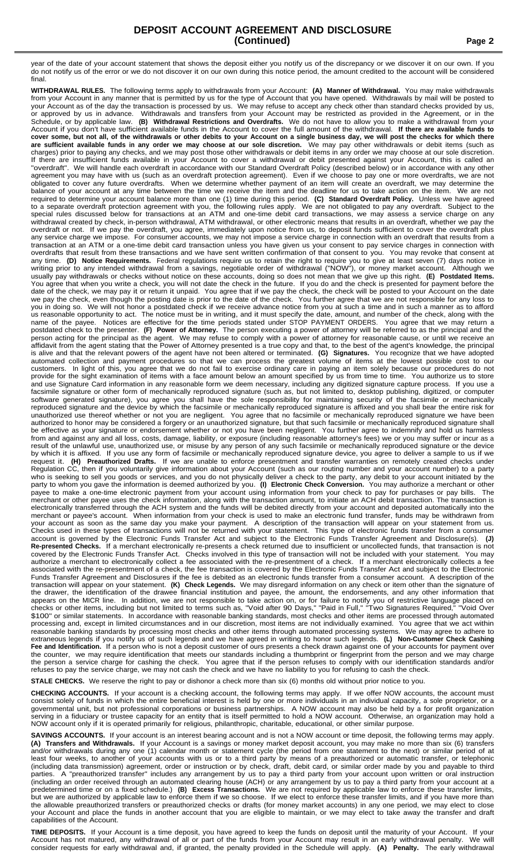### **DEPOSIT ACCOUNT AGREEMENT AND DISCLOSURE (Continued) Page 2**

year of the date of your account statement that shows the deposit either you notify us of the discrepancy or we discover it on our own. If you do not notify us of the error or we do not discover it on our own during this notice period, the amount credited to the account will be considered final.

**WITHDRAWAL RULES.** The following terms apply to withdrawals from your Account: **(A) Manner of Withdrawal.** You may make withdrawals from your Account in any manner that is permitted by us for the type of Account that you have opened. Withdrawals by mail will be posted to your Account as of the day the transaction is processed by us. We may refuse to accept any check other than standard checks provided by us, or approved by us in advance. Withdrawals and transfers from your Account may be restricted as provided in the Agreement, or in the Schedule, or by applicable law. **(B) Withdrawal Restrictions and Overdrafts.** We do not have to allow you to make a withdrawal from your Account if you don't have sufficient available funds in the Account to cover the full amount of the withdrawal. **If there are available funds to** cover some, but not all, of the withdrawals or other debits to your Account on a single business day, we will post the checks for which there are sufficient available funds in any order we may choose at our sole discretion. We may pay other withdrawals or debit items (such as charges) prior to paying any checks, and we may post those other withdrawals or debit items in any order we may choose at our sole discretion. If there are insufficient funds available in your Account to cover a withdrawal or debit presented against your Account, this is called an "overdraft". We will handle each overdraft in accordance with our Standard Overdraft Policy (described below) or in accordance with any other agreement you may have with us (such as an overdraft protection agreement). Even if we choose to pay one or more overdrafts, we are not obligated to cover any future overdrafts. When we determine whether payment of an item will create an overdraft, we may determine the balance of your account at any time between the time we receive the item and the deadline for us to take action on the item. We are not required to determine your account balance more than one (1) time during this period. **(C) Standard Overdraft Policy.** Unless we have agreed to a separate overdraft protection agreement with you, the following rules apply. We are not obligated to pay any overdraft. Subject to the special rules discussed below for transactions at an ATM and one-time debit card transactions, we may assess a service charge on any withdrawal created by check, in-person withdrawal, ATM withdrawal, or other electronic means that results in an overdraft, whether we pay the overdraft or not. If we pay the overdraft, you agree, immediately upon notice from us, to deposit funds sufficient to cover the overdraft plus any service charge we impose. For consumer accounts, we may not impose a service charge in connection with an overdraft that results from a transaction at an ATM or a one-time debit card transaction unless you have given us your consent to pay service charges in connection with overdrafts that result from these transactions and we have sent written confirmation of that consent to you. You may revoke that consent at any time. **(D) Notice Requirements.** Federal regulations require us to retain the right to require you to give at least seven (7) days notice in writing prior to any intended withdrawal from a savings, negotiable order of withdrawal ("NOW"), or money market account. Although we usually pay withdrawals or checks without notice on these accounts, doing so does not mean that we give up this right. **(E) Postdated Items.** You agree that when you write a check, you will not date the check in the future. If you do and the check is presented for payment before the date of the check, we may pay it or return it unpaid. You agree that if we pay the check, the check will be posted to your Account on the date we pay the check, even though the posting date is prior to the date of the check. You further agree that we are not responsible for any loss to you in doing so. We will not honor a postdated check if we receive advance notice from you at such a time and in such a manner as to afford us reasonable opportunity to act. The notice must be in writing, and it must specify the date, amount, and number of the check, along with the name of the payee. Notices are effective for the time periods stated under STOP PAYMENT ORDERS. You agree that we may return a postdated check to the presenter. **(F) Power of Attorney.** The person executing a power of attorney will be referred to as the principal and the person acting for the principal as the agent. We may refuse to comply with a power of attorney for reasonable cause, or until we receive an affidavit from the agent stating that the Power of Attorney presented is a true copy and that, to the best of the agent's knowledge, the principal is alive and that the relevant powers of the agent have not been altered or terminated. **(G) Signatures.** You recognize that we have adopted automated collection and payment procedures so that we can process the greatest volume of items at the lowest possible cost to our customers. In light of this, you agree that we do not fail to exercise ordinary care in paying an item solely because our procedures do not provide for the sight examination of items with a face amount below an amount specified by us from time to time. You authorize us to store and use Signature Card information in any reasonable form we deem necessary, including any digitized signature capture process. If you use a facsimile signature or other form of mechanically reproduced signature (such as, but not limited to, desktop publishing, digitized, or computer software generated signature), you agree you shall have the sole responsibility for maintaining security of the facsimile or mechanically reproduced signature and the device by which the facsimile or mechanically reproduced signature is affixed and you shall bear the entire risk for unauthorized use thereof whether or not you are negligent. You agree that no facsimile or mechanically reproduced signature we have been authorized to honor may be considered a forgery or an unauthorized signature, but that such facsimile or mechanically reproduced signature shall be effective as your signature or endorsement whether or not you have been negligent. You further agree to indemnify and hold us harmless from and against any and all loss, costs, damage, liability, or exposure (including reasonable attorney's fees) we or you may suffer or incur as a result of the unlawful use, unauthorized use, or misuse by any person of any such facsimile or mechanically reproduced signature or the device by which it is affixed. If you use any form of facsimile or mechanically reproduced signature device, you agree to deliver a sample to us if we request it. **(H) Preauthorized Drafts.** If we are unable to enforce presentment and transfer warranties on remotely created checks under Regulation CC, then if you voluntarily give information about your Account (such as our routing number and your account number) to a party who is seeking to sell you goods or services, and you do not physically deliver a check to the party, any debit to your account initiated by the party to whom you gave the information is deemed authorized by you. **(I) Electronic Check Conversion.** You may authorize a merchant or other payee to make a one-time electronic payment from your account using information from your check to pay for purchases or pay bills. The merchant or other payee uses the check information, along with the transaction amount, to initiate an ACH debit transaction. The transaction is electronically transferred through the ACH system and the funds will be debited directly from your account and deposited automatically into the merchant or payee's account. When information from your check is used to make an electronic fund transfer, funds may be withdrawn from your account as soon as the same day you make your payment. A description of the transaction will appear on your statement from us. Checks used in these types of transactions will not be returned with your statement. This type of electronic funds transfer from a consumer account is governed by the Electronic Funds Transfer Act and subject to the Electronic Funds Transfer Agreement and Disclosure(s). **(J) Re-presented Checks.** If a merchant electronically re-presents a check returned due to insufficient or uncollected funds, that transaction is not covered by the Electronic Funds Transfer Act. Checks involved in this type of transaction will not be included with your statement. You may authorize a merchant to electronically collect a fee associated with the re-presentment of a check. If a merchant electronically collects a fee associated with the re-presentment of a check, the fee transaction is covered by the Electronic Funds Transfer Act and subject to the Electronic Funds Transfer Agreement and Disclosures if the fee is debited as an electronic funds transfer from a consumer account. A description of the transaction will appear on your statement. **(K) Check Legends.** We may disregard information on any check or item other than the signature of the drawer, the identification of the drawee financial institution and payee, the amount, the endorsements, and any other information that appears on the MICR line. In addition, we are not responsible to take action on, or for failure to notify you of restrictive language placed on checks or other items, including but not limited to terms such as, "Void after 90 Days," "Paid in Full," "Two Signatures Required," "Void Over \$100" or similar statements. In accordance with reasonable banking standards, most checks and other items are processed through automated processing and, except in limited circumstances and in our discretion, most items are not individually examined. You agree that we act within reasonable banking standards by processing most checks and other items through automated processing systems. We may agree to adhere to extraneous legends if you notify us of such legends and we have agreed in writing to honor such legends. **(L) Non-Customer Check Cashing** Fee and Identification. If a person who is not a deposit customer of ours presents a check drawn against one of your accounts for payment over the counter, we may require identification that meets our standards including a thumbprint or fingerprint from the person and we may charge the person a service charge for cashing the check. You agree that if the person refuses to comply with our identification standards and/or refuses to pay the service charge, we may not cash the check and we have no liability to you for refusing to cash the check.

**STALE CHECKS.** We reserve the right to pay or dishonor a check more than six (6) months old without prior notice to you.

**CHECKING ACCOUNTS.** If your account is a checking account, the following terms may apply. If we offer NOW accounts, the account must consist solely of funds in which the entire beneficial interest is held by one or more individuals in an individual capacity, a sole proprietor, or a governmental unit, but not professional corporations or business partnerships. A NOW account may also be held by a for profit organization serving in a fiduciary or trustee capacity for an entity that is itself permitted to hold a NOW account. Otherwise, an organization may hold a NOW account only if it is operated primarily for religious, philanthropic, charitable, educational, or other similar purpose.

SAVINGS ACCOUNTS. If your account is an interest bearing account and is not a NOW account or time deposit, the following terms may apply **(A) Transfers and Withdrawals.** If your Account is a savings or money market deposit account, you may make no more than six (6) transfers and/or withdrawals during any one (1) calendar month or statement cycle (the period from one statement to the next) or similar period of at least four weeks, to another of your accounts with us or to a third party by means of a preauthorized or automatic transfer, or telephonic (including data transmission) agreement, order or instruction or by check, draft, debit card, or similar order made by you and payable to third parties. A "preauthorized transfer" includes any arrangement by us to pay a third party from your account upon written or oral instruction (including an order received through an automated clearing house (ACH) or any arrangement by us to pay a third party from your account at a predetermined time or on a fixed schedule.) **(B) Excess Transactions.** We are not required by applicable law to enforce these transfer limits, but we are authorized by applicable law to enforce them if we so choose. If we elect to enforce these transfer limits, and if you have more than the allowable preauthorized transfers or preauthorized checks or drafts (for money market accounts) in any one period, we may elect to close your Account and place the funds in another account that you are eligible to maintain, or we may elect to take away the transfer and draft capabilities of the Account.

**TIME DEPOSITS.** If your Account is a time deposit, you have agreed to keep the funds on deposit until the maturity of your Account. If your Account has not matured, any withdrawal of all or part of the funds from your Account may result in an early withdrawal penalty. We will consider requests for early withdrawal and, if granted, the penalty provided in the Schedule will apply. **(A) Penalty.** The early withdrawal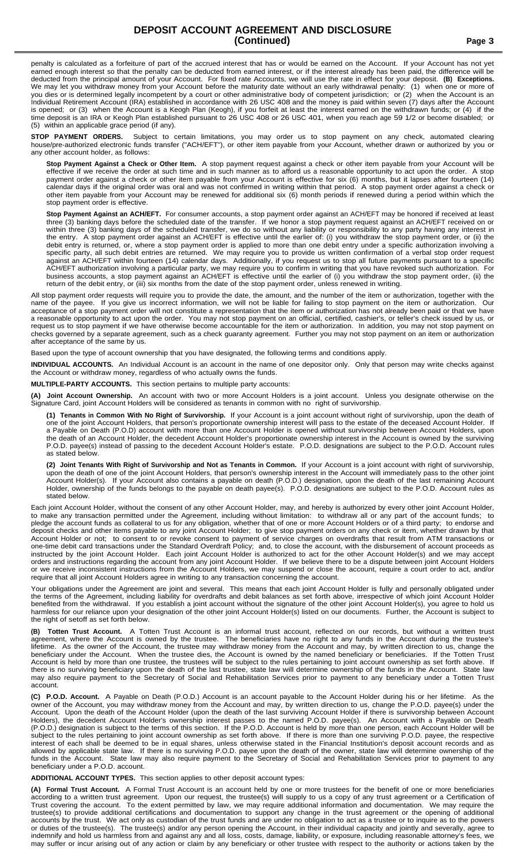penalty is calculated as a forfeiture of part of the accrued interest that has or would be earned on the Account. If your Account has not yet earned enough interest so that the penalty can be deducted from earned interest, or if the interest already has been paid, the difference will be deducted from the principal amount of your Account. For fixed rate Accounts, we will use the rate in effect for your deposit. **(B) Exceptions.** We may let you withdraw money from your Account before the maturity date without an early withdrawal penalty: (1) when one or more of you dies or is determined legally incompetent by a court or other administrative body of competent jurisdiction; or (2) when the Account is an Individual Retirement Account (IRA) established in accordance with 26 USC 408 and the money is paid within seven (7) days after the Account is opened; or (3) when the Account is a Keogh Plan (Keogh), if you forfeit at least the interest earned on the withdrawn funds; or (4) if the time deposit is an IRA or Keogh Plan established pursuant to 26 USC 408 or 26 USC 401, when you reach age 59 1/2 or become disabled; or (5) within an applicable grace period (if any).

**STOP PAYMENT ORDERS.** Subject to certain limitations, you may order us to stop payment on any check, automated clearing house/pre-authorized electronic funds transfer ("ACH/EFT"), or other item payable from your Account, whether drawn or authorized by you or any other account holder, as follows:

**Stop Payment Against a Check or Other Item.** A stop payment request against a check or other item payable from your Account will be effective if we receive the order at such time and in such manner as to afford us a reasonable opportunity to act upon the order. A stop payment order against a check or other item payable from your Account is effective for six (6) months, but it lapses after fourteen (14) calendar days if the original order was oral and was not confirmed in writing within that period. A stop payment order against a check or other item payable from your Account may be renewed for additional six (6) month periods if renewed during a period within which the stop payment order is effective.

**Stop Payment Against an ACH/EFT.** For consumer accounts, a stop payment order against an ACH/EFT may be honored if received at least three (3) banking days before the scheduled date of the transfer. If we honor a stop payment request against an ACH/EFT received on or within three (3) banking days of the scheduled transfer, we do so without any liability or responsibility to any party having any interest in the entry. A stop payment order against an ACH/EFT is effective until the earlier of: (i) you withdraw the stop payment order, or (ii) the debit entry is returned, or, where a stop payment order is applied to more than one debit entry under a specific authorization involving a specific party, all such debit entries are returned. We may require you to provide us written confirmation of a verbal stop order request against an ACH/EFT within fourteen (14) calendar days. Additionally, if you request us to stop all future payments pursuant to a specific ACH/EFT authorization involving a particular party, we may require you to confirm in writing that you have revoked such authorization. For business accounts, a stop payment against an ACH/EFT is effective until the earlier of (i) you withdraw the stop payment order, (ii) the return of the debit entry, or (iii) six months from the date of the stop payment order, unless renewed in writing.

All stop payment order requests will require you to provide the date, the amount, and the number of the item or authorization, together with the name of the payee. If you give us incorrect information, we will not be liable for failing to stop payment on the item or authorization. Our acceptance of a stop payment order will not constitute a representation that the item or authorization has not already been paid or that we have a reasonable opportunity to act upon the order. You may not stop payment on an official, certified, cashier's, or teller's check issued by us, or request us to stop payment if we have otherwise become accountable for the item or authorization. In addition, you may not stop payment on checks governed by a separate agreement, such as a check guaranty agreement. Further you may not stop payment on an item or authorization after acceptance of the same by us.

Based upon the type of account ownership that you have designated, the following terms and conditions apply.

**INDIVIDUAL ACCOUNTS.** An Individual Account is an account in the name of one depositor only. Only that person may write checks against the Account or withdraw money, regardless of who actually owns the funds.

**MULTIPLE-PARTY ACCOUNTS.** This section pertains to multiple party accounts:

**(A) Joint Account Ownership.** An account with two or more Account Holders is a joint account. Unless you designate otherwise on the Signature Card, joint Account Holders will be considered as tenants in common with no right of survivorship.

**(1) Tenants in Common With No Right of Survivorship.** If your Account is a joint account without right of survivorship, upon the death of one of the joint Account Holders, that person's proportionate ownership interest will pass to the estate of the deceased Account Holder. If a Payable on Death (P.O.D) account with more than one Account Holder is opened without survivorship between Account Holders, upon the death of an Account Holder, the decedent Account Holder's proportionate ownership interest in the Account is owned by the surviving P.O.D. payee(s) instead of passing to the decedent Account Holder's estate. P.O.D. designations are subject to the P.O.D. Account rules as stated below.

(2) Joint Tenants With Right of Survivorship and Not as Tenants in Common. If your Account is a joint account with right of survivorship, upon the death of one of the joint Account Holders, that person's ownership interest in the Account will immediately pass to the other joint Account Holder(s). If your Account also contains a payable on death (P.O.D.) designation, upon the death of the last remaining Account Holder, ownership of the funds belongs to the payable on death payee(s). P.O.D. designations are subject to the P.O.D. Account rules as stated below.

Each joint Account Holder, without the consent of any other Account Holder, may, and hereby is authorized by every other joint Account Holder, to make any transaction permitted under the Agreement, including without limitation: to withdraw all or any part of the account funds; to pledge the account funds as collateral to us for any obligation, whether that of one or more Account Holders or of a third party; to endorse and deposit checks and other items payable to any joint Account Holder; to give stop payment orders on any check or item, whether drawn by that Account Holder or not; to consent to or revoke consent to payment of service charges on overdrafts that result from ATM transactions or one-time debit card transactions under the Standard Overdraft Policy; and, to close the account, with the disbursement of account proceeds as instructed by the joint Account Holder. Each joint Account Holder is authorized to act for the other Account Holder(s) and we may accept orders and instructions regarding the account from any joint Account Holder. If we believe there to be a dispute between joint Account Holders or we receive inconsistent instructions from the Account Holders, we may suspend or close the account, require a court order to act, and/or require that all joint Account Holders agree in writing to any transaction concerning the account.

Your obligations under the Agreement are joint and several. This means that each joint Account Holder is fully and personally obligated under the terms of the Agreement, including liability for overdrafts and debit balances as set forth above, irrespective of which joint Account Holder benefited from the withdrawal. If you establish a joint account without the signature of the other joint Account Holder(s), you agree to hold us harmless for our reliance upon your designation of the other joint Account Holder(s) listed on our documents. Further, the Account is subject to the right of setoff as set forth below.

**(B) Totten Trust Account.** A Totten Trust Account is an informal trust account, reflected on our records, but without a written trust agreement, where the Account is owned by the trustee. The beneficiaries have no right to any funds in the Account during the trustee's lifetime. As the owner of the Account, the trustee may withdraw money from the Account and may, by written direction to us, change the beneficiary under the Account. When the trustee dies, the Account is owned by the named beneficiary or beneficiaries. If the Totten Trust Account is held by more than one trustee, the trustees will be subject to the rules pertaining to joint account ownership as set forth above. If there is no surviving beneficiary upon the death of the last trustee, state law will determine ownership of the funds in the Account. State law may also require payment to the Secretary of Social and Rehabilitation Services prior to payment to any beneficiary under a Totten Trust account.

**(C) P.O.D. Account.** A Payable on Death (P.O.D.) Account is an account payable to the Account Holder during his or her lifetime. As the owner of the Account, you may withdraw money from the Account and may, by written direction to us, change the P.O.D. payee(s) under the Account. Upon the death of the Account Holder (upon the death of the last surviving Account Holder if there is survivorship between Account Holders), the decedent Account Holder's ownership interest passes to the named P.O.D. payee(s). An Account with a Payable on Death (P.O.D.) designation is subject to the terms of this section. If the P.O.D. Account is held by more than one person, each Account Holder will be subject to the rules pertaining to joint account ownership as set forth above. If there is more than one surviving P.O.D. payee, the respective interest of each shall be deemed to be in equal shares, unless otherwise stated in the Financial Institution's deposit account records and as allowed by applicable state law. If there is no surviving P.O.D. payee upon the death of the owner, state law will determine ownership of the funds in the Account. State law may also require payment to the Secretary of Social and Rehabilitation Services prior to payment to any beneficiary under a P.O.D. account.

**ADDITIONAL ACCOUNT TYPES.** This section applies to other deposit account types:

**(A) Formal Trust Account.** A Formal Trust Account is an account held by one or more trustees for the benefit of one or more beneficiaries according to a written trust agreement. Upon our request, the trustee(s) will supply to us a copy of any trust agreement or a Certification of Trust covering the account. To the extent permitted by law, we may require additional information and documentation. We may require the trustee(s) to provide additional certifications and documentation to support any change in the trust agreement or the opening of additional accounts by the trust. We act only as custodian of the trust funds and are under no obligation to act as a trustee or to inquire as to the powers or duties of the trustee(s). The trustee(s) and/or any person opening the Account, in their individual capacity and jointly and severally, agree to indemnify and hold us harmless from and against any and all loss, costs, damage, liability, or exposure, including reasonable attorney's fees, we may suffer or incur arising out of any action or claim by any beneficiary or other trustee with respect to the authority or actions taken by the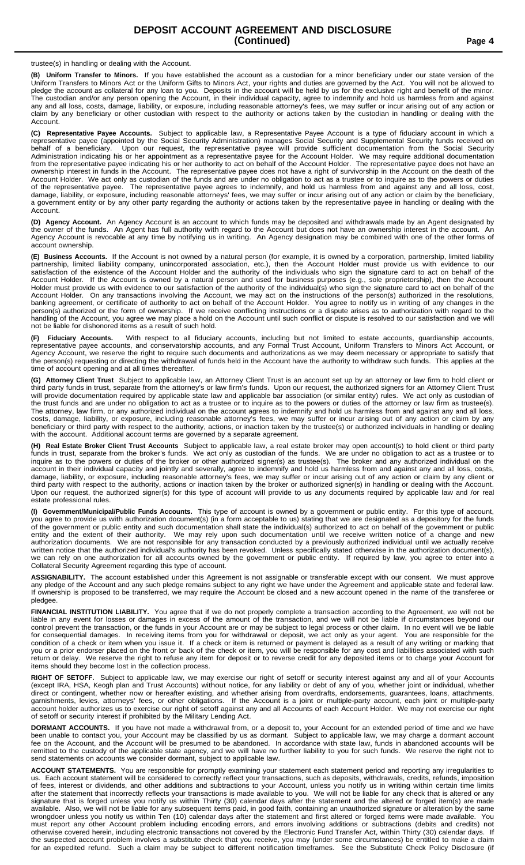trustee(s) in handling or dealing with the Account.

**(B) Uniform Transfer to Minors.** If you have established the account as a custodian for a minor beneficiary under our state version of the Uniform Transfers to Minors Act or the Uniform Gifts to Minors Act, your rights and duties are governed by the Act. You will not be allowed to pledge the account as collateral for any loan to you. Deposits in the account will be held by us for the exclusive right and benefit of the minor. The custodian and/or any person opening the Account, in their individual capacity, agree to indemnify and hold us harmless from and against any and all loss, costs, damage, liability, or exposure, including reasonable attorney's fees, we may suffer or incur arising out of any action or claim by any beneficiary or other custodian with respect to the authority or actions taken by the custodian in handling or dealing with the Account.

**(C) Representative Payee Accounts.** Subject to applicable law, a Representative Payee Account is a type of fiduciary account in which a representative payee (appointed by the Social Security Administration) manages Social Security and Supplemental Security funds received on behalf of a beneficiary. Upon our request, the representative payee will provide sufficient documentation from the Social Security Administration indicating his or her appointment as a representative payee for the Account Holder. We may require additional documentation from the representative payee indicating his or her authority to act on behalf of the Account Holder. The representative payee does not have an ownership interest in funds in the Account. The representative payee does not have a right of survivorship in the Account on the death of the Account Holder. We act only as custodian of the funds and are under no obligation to act as a trustee or to inquire as to the powers or duties of the representative payee. The representative payee agrees to indemnify, and hold us harmless from and against any and all loss, cost, damage, liability, or exposure, including reasonable attorneys' fees, we may suffer or incur arising out of any action or claim by the beneficiary, a government entity or by any other party regarding the authority or actions taken by the representative payee in handling or dealing with the Account.

**(D) Agency Account.** An Agency Account is an account to which funds may be deposited and withdrawals made by an Agent designated by the owner of the funds. An Agent has full authority with regard to the Account but does not have an ownership interest in the account. An Agency Account is revocable at any time by notifying us in writing. An Agency designation may be combined with one of the other forms of account ownership.

**(E) Business Accounts.** If the Account is not owned by a natural person (for example, it is owned by a corporation, partnership, limited liability partnership, limited liability company, unincorporated association, etc.), then the Account Holder must provide us with evidence to our satisfaction of the existence of the Account Holder and the authority of the individuals who sign the signature card to act on behalf of the Account Holder. If the Account is owned by a natural person and used for business purposes (e.g., sole proprietorship), then the Account Holder must provide us with evidence to our satisfaction of the authority of the individual(s) who sign the signature card to act on behalf of the Account Holder. On any transactions involving the Account, we may act on the instructions of the person(s) authorized in the resolutions, banking agreement, or certificate of authority to act on behalf of the Account Holder. You agree to notify us in writing of any changes in the person(s) authorized or the form of ownership. If we receive conflicting instructions or a dispute arises as to authorization with regard to the handling of the Account, you agree we may place a hold on the Account until such conflict or dispute is resolved to our satisfaction and we will not be liable for dishonored items as a result of such hold.

**(F) Fiduciary Accounts.** With respect to all fiduciary accounts, including but not limited to estate accounts, guardianship accounts, representative payee accounts, and conservatorship accounts, and any Formal Trust Account, Uniform Transfers to Minors Act Account, or Agency Account, we reserve the right to require such documents and authorizations as we may deem necessary or appropriate to satisfy that the person(s) requesting or directing the withdrawal of funds held in the Account have the authority to withdraw such funds. This applies at the time of account opening and at all times thereafter.

**(G) Attorney Client Trust** Subject to applicable law, an Attorney Client Trust is an account set up by an attorney or law firm to hold client or third party funds in trust, separate from the attorney's or law firm's funds. Upon our request, the authorized signers for an Attorney Client Trust will provide documentation required by applicable state law and applicable bar association (or similar entity) rules. We act only as custodian of the trust funds and are under no obligation to act as a trustee or to inquire as to the powers or duties of the attorney or law firm as trustee(s). The attorney, law firm, or any authorized individual on the account agrees to indemnify and hold us harmless from and against any and all loss, costs, damage, liability, or exposure, including reasonable attorney's fees, we may suffer or incur arising out of any action or claim by any beneficiary or third party with respect to the authority, actions, or inaction taken by the trustee(s) or authorized individuals in handling or dealing with the account. Additional account terms are governed by a separate agreement.

**(H) Real Estate Broker Client Trust Accounts** Subject to applicable law, a real estate broker may open account(s) to hold client or third party funds in trust, separate from the broker's funds. We act only as custodian of the funds. We are under no obligation to act as a trustee or to inquire as to the powers or duties of the broker or other authorized signer(s) as trustee(s). The broker and any authorized individual on the account in their individual capacity and jointly and severally, agree to indemnify and hold us harmless from and against any and all loss, costs, damage, liability, or exposure, including reasonable attorney's fees, we may suffer or incur arising out of any action or claim by any client or third party with respect to the authority, actions or inaction taken by the broker or authorized signer(s) in handling or dealing with the Account. Upon our request, the authorized signer(s) for this type of account will provide to us any documents required by applicable law and /or real estate professional rules.

**(I) Government/Municipal/Public Funds Accounts.** This type of account is owned by a government or public entity. For this type of account, you agree to provide us with authorization document(s) (in a form acceptable to us) stating that we are designated as a depository for the funds of the government or public entity and such documentation shall state the individual(s) authorized to act on behalf of the government or public entity and the extent of their authority. We may rely upon such documentation until we receive written notice of a change and new authorization documents. We are not responsible for any transaction conducted by a previously authorized individual until we actually receive written notice that the authorized individual's authority has been revoked. Unless specifically stated otherwise in the authorization document(s), we can rely on one authorization for all accounts owned by the government or public entity. If required by law, you agree to enter into a Collateral Security Agreement regarding this type of account.

**ASSIGNABILITY.** The account established under this Agreement is not assignable or transferable except with our consent. We must approve any pledge of the Account and any such pledge remains subject to any right we have under the Agreement and applicable state and federal law. If ownership is proposed to be transferred, we may require the Account be closed and a new account opened in the name of the transferee or pledgee.

**FINANCIAL INSTITUTION LIABILITY.** You agree that if we do not properly complete a transaction according to the Agreement, we will not be liable in any event for losses or damages in excess of the amount of the transaction, and we will not be liable if circumstances beyond our control prevent the transaction, or the funds in your Account are or may be subject to legal process or other claim. In no event will we be liable for consequential damages. In receiving items from you for withdrawal or deposit, we act only as your agent. You are responsible for the condition of a check or item when you issue it. If a check or item is returned or payment is delayed as a result of any writing or marking that you or a prior endorser placed on the front or back of the check or item, you will be responsible for any cost and liabilities associated with such return or delay. We reserve the right to refuse any item for deposit or to reverse credit for any deposited items or to charge your Account for items should they become lost in the collection process.

**RIGHT OF SETOFF.** Subject to applicable law, we may exercise our right of setoff or security interest against any and all of your Accounts (except IRA, HSA, Keogh plan and Trust Accounts) without notice, for any liability or debt of any of you, whether joint or individual, whether direct or contingent, whether now or hereafter existing, and whether arising from overdrafts, endorsements, guarantees, loans, attachments, garnishments, levies, attorneys' fees, or other obligations. If the Account is a joint or multiple-party account, each joint or multiple-party account holder authorizes us to exercise our right of setoff against any and all Accounts of each Account Holder. We may not exercise our right of setoff or security interest if prohibited by the Military Lending Act.

**DORMANT ACCOUNTS.** If you have not made a withdrawal from, or a deposit to, your Account for an extended period of time and we have been unable to contact you, your Account may be classified by us as dormant. Subject to applicable law, we may charge a dormant account fee on the Account, and the Account will be presumed to be abandoned. In accordance with state law, funds in abandoned accounts will be remitted to the custody of the applicable state agency, and we will have no further liability to you for such funds. We reserve the right not to send statements on accounts we consider dormant, subject to applicable law.

**ACCOUNT STATEMENTS.** You are responsible for promptly examining your statement each statement period and reporting any irregularities to us. Each account statement will be considered to correctly reflect your transactions, such as deposits, withdrawals, credits, refunds, imposition of fees, interest or dividends, and other additions and subtractions to your Account, unless you notify us in writing within certain time limits after the statement that incorrectly reflects your transactions is made available to you. We will not be liable for any check that is altered or any signature that is forged unless you notify us within Thirty (30) calendar days after the statement and the altered or forged item(s) are made available. Also, we will not be liable for any subsequent items paid, in good faith, containing an unauthorized signature or alteration by the same wrongdoer unless you notify us within Ten (10) calendar days after the statement and first altered or forged items were made available. You must report any other Account problem including encoding errors, and errors involving additions or subtractions (debits and credits) not otherwise covered herein, including electronic transactions not covered by the Electronic Fund Transfer Act, within Thirty (30) calendar days. If the suspected account problem involves a substitute check that you receive, you may (under some circumstances) be entitled to make a claim for an expedited refund. Such a claim may be subject to different notification timeframes. See the Substitute Check Policy Disclosure (if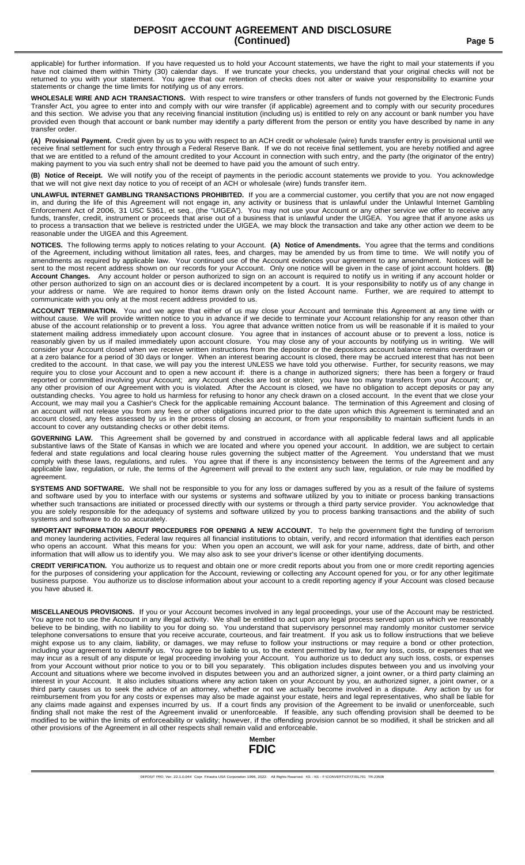applicable) for further information. If you have requested us to hold your Account statements, we have the right to mail your statements if you have not claimed them within Thirty (30) calendar days. If we truncate your checks, you understand that your original checks will not be returned to you with your statement. You agree that our retention of checks does not You agree that our retention of checks does not alter or waive your responsibility to examine your statements or change the time limits for notifying us of any errors.

**WHOLESALE WIRE AND ACH TRANSACTIONS.** With respect to wire transfers or other transfers of funds not governed by the Electronic Funds Transfer Act, you agree to enter into and comply with our wire transfer (if applicable) agreement and to comply with our security procedures and this section. We advise you that any receiving financial institution (including us) is entitled to rely on any account or bank number you have provided even though that account or bank number may identify a party different from the person or entity you have described by name in any transfer order.

**(A) Provisional Payment.** Credit given by us to you with respect to an ACH credit or wholesale (wire) funds transfer entry is provisional until we receive final settlement for such entry through a Federal Reserve Bank. If we do not receive final settlement, you are hereby notified and agree that we are entitled to a refund of the amount credited to your Account in connection with such entry, and the party (the originator of the entry) making payment to you via such entry shall not be deemed to have paid you the amount of such entry.

**(B) Notice of Receipt.** We will notify you of the receipt of payments in the periodic account statements we provide to you. You acknowledge that we will not give next day notice to you of receipt of an ACH or wholesale (wire) funds transfer item.

**UNLAWFUL INTERNET GAMBLING TRANSACTIONS PROHIBITED.** If you are a commercial customer, you certify that you are not now engaged in, and during the life of this Agreement will not engage in, any activity or business that is unlawful under the Unlawful Internet Gambling Enforcement Act of 2006, 31 USC 5361, et seq., (the "UIGEA"). You may not use your Account or any other service we offer to receive any funds, transfer, credit, instrument or proceeds that arise out of a business that is unlawful under the UIGEA. You agree that if anyone asks us to process a transaction that we believe is restricted under the UIGEA, we may block the transaction and take any other action we deem to be reasonable under the UIGEA and this Agreement.

**NOTICES.** The following terms apply to notices relating to your Account. **(A) Notice of Amendments.** You agree that the terms and conditions of the Agreement, including without limitation all rates, fees, and charges, may be amended by us from time to time. We will notify you of amendments as required by applicable law. Your continued use of the Account evidences your agreement to any amendment. Notices will be sent to the most recent address shown on our records for your Account. Only one notice will be given in the case of joint account holders. **(B) Account Changes.** Any account holder or person authorized to sign on an account is required to notify us in writing if any account holder or other person authorized to sign on an account dies or is declared incompetent by a court. It is your responsibility to notify us of any change in your address or name. We are required to honor items drawn only on the listed Account name. Further, we are required to attempt to communicate with you only at the most recent address provided to us.

**ACCOUNT TERMINATION.** You and we agree that either of us may close your Account and terminate this Agreement at any time with or without cause. We will provide written notice to you in advance if we decide to terminate your Account relationship for any reason other than abuse of the account relationship or to prevent a loss. You agree that advance written notice from us will be reasonable if it is mailed to your statement mailing address immediately upon account closure. You agree that in instances of account abuse or to prevent a loss, notice is reasonably given by us if mailed immediately upon account closure. You may close any of your accounts by notifying us in writing. We will consider your Account closed when we receive written instructions from the depositor or the depositors account balance remains overdrawn or at a zero balance for a period of 30 days or longer. When an interest bearing account is closed, there may be accrued interest that has not been credited to the account. In that case, we will pay you the interest UNLESS we have told you otherwise. Further, for security reasons, we may require you to close your Account and to open a new account if: there is a change in authorized signers; there has been a forgery or fraud reported or committed involving your Account; any Account checks are lost or stolen; you have too many transfers from your Account; or, any other provision of our Agreement with you is violated. After the Account is closed, we have no obligation to accept deposits or pay any outstanding checks. You agree to hold us harmless for refusing to honor any check drawn on a closed account. In the event that we close your Account, we may mail you a Cashier's Check for the applicable remaining Account balance. The termination of this Agreement and closing of an account will not release you from any fees or other obligations incurred prior to the date upon which this Agreement is terminated and an account closed, any fees assessed by us in the process of closing an account, or from your responsibility to maintain sufficient funds in an account to cover any outstanding checks or other debit items.

**GOVERNING LAW.** This Agreement shall be governed by and construed in accordance with all applicable federal laws and all applicable substantive laws of the State of Kansas in which we are located and where you opened your account. In addition, we are subject to certain federal and state regulations and local clearing house rules governing the subject matter of the Agreement. You understand that we must comply with these laws, regulations, and rules. You agree that if there is any inconsistency between the terms of the Agreement and any applicable law, regulation, or rule, the terms of the Agreement will prevail to the extent any such law, regulation, or rule may be modified by agreement.

**SYSTEMS AND SOFTWARE.** We shall not be responsible to you for any loss or damages suffered by you as a result of the failure of systems and software used by you to interface with our systems or systems and software utilized by you to initiate or process banking transactions whether such transactions are initiated or processed directly with our systems or through a third party service provider. You acknowledge that you are solely responsible for the adequacy of systems and software utilized by you to process banking transactions and the ability of such systems and software to do so accurately.

**IMPORTANT INFORMATION ABOUT PROCEDURES FOR OPENING A NEW ACCOUNT.** To help the government fight the funding of terrorism and money laundering activities, Federal law requires all financial institutions to obtain, verify, and record information that identifies each person who opens an account. What this means for you: When you open an account, we will ask for your name, address, date of birth, and other information that will allow us to identify you. We may also ask to see your driver's license or other identifying documents.

**CREDIT VERIFICATION.** You authorize us to request and obtain one or more credit reports about you from one or more credit reporting agencies for the purposes of considering your application for the Account, reviewing or collecting any Account opened for you, or for any other legitimate business purpose. You authorize us to disclose information about your account to a credit reporting agency if your Account was closed because you have abused it.

**MISCELLANEOUS PROVISIONS.** If you or your Account becomes involved in any legal proceedings, your use of the Account may be restricted. You agree not to use the Account in any illegal activity. We shall be entitled to act upon any legal process served upon us which we reasonably believe to be binding, with no liability to you for doing so. You understand that supervisory personnel may randomly monitor customer service telephone conversations to ensure that you receive accurate, courteous, and fair treatment. If you ask us to follow instructions that we believe might expose us to any claim, liability, or damages, we may refuse to follow your instructions or may require a bond or other protection, including your agreement to indemnify us. You agree to be liable to us, to the extent permitted by law, for any loss, costs, or expenses that we may incur as a result of any dispute or legal proceeding involving your Account. You authorize us to deduct any such loss, costs, or expenses from your Account without prior notice to you or to bill you separately. This obligation includes disputes between you and us involving your Account and situations where we become involved in disputes between you and an authorized signer, a joint owner, or a third party claiming an interest in your Account. It also includes situations where any action taken on your Account by you, an authorized signer, a joint owner, or a third party causes us to seek the advice of an attorney, whether or not we actually become involved in a dispute. Any action by us for reimbursement from you for any costs or expenses may also be made against your estate, heirs and legal representatives, who shall be liable for any claims made against and expenses incurred by us. If a court finds any provision of the Agreement to be invalid or unenforceable, such finding shall not make the rest of the Agreement invalid or unenforceable. If feasible, any such offending provision shall be deemed to be modified to be within the limits of enforceability or validity; however, if the offending provision cannot be so modified, it shall be stricken and all other provisions of the Agreement in all other respects shall remain valid and enforceable.

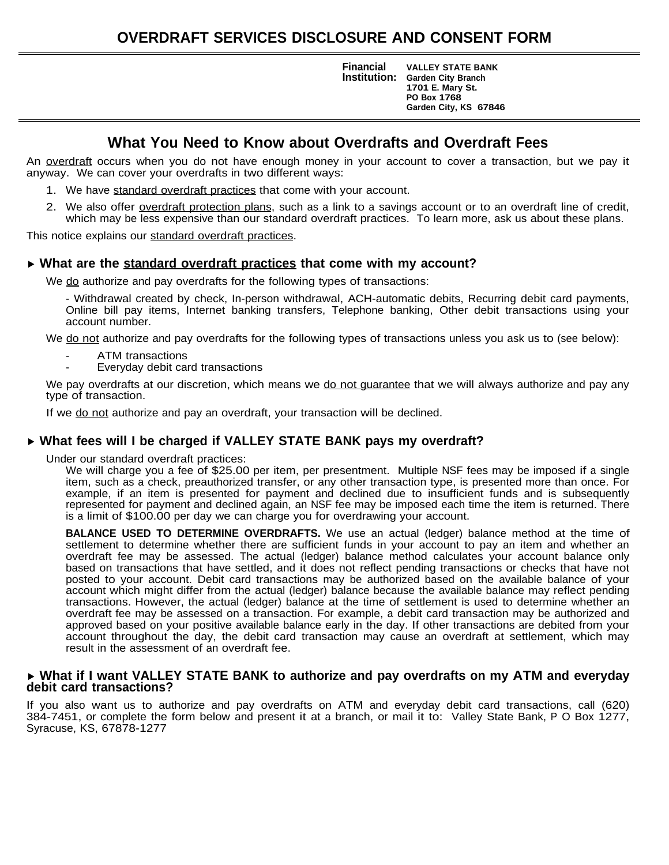**Institution: Financial VALLEY STATE BANK Garden City Branch 1701 E. Mary St. PO Box 1768 Garden City, KS 67846**

### **What You Need to Know about Overdrafts and Overdraft Fees**

An overdraft occurs when you do not have enough money in your account to cover a transaction, but we pay it anyway. We can cover your overdrafts in two different ways:

- 1. We have standard overdraft practices that come with your account.
- 2. We also offer overdraft protection plans, such as a link to a savings account or to an overdraft line of credit, which may be less expensive than our standard overdraft practices. To learn more, ask us about these plans.

This notice explains our standard overdraft practices.

### **What are the standard overdraft practices that come with my account?**

We do authorize and pay overdrafts for the following types of transactions:

- Withdrawal created by check, In-person withdrawal, ACH-automatic debits, Recurring debit card payments, Online bill pay items, Internet banking transfers, Telephone banking, Other debit transactions using your account number.

We do not authorize and pay overdrafts for the following types of transactions unless you ask us to (see below):

- ATM transactions
- Everyday debit card transactions

We pay overdrafts at our discretion, which means we do not guarantee that we will always authorize and pay any type of transaction.

If we do not authorize and pay an overdraft, your transaction will be declined.

### **What fees will I be charged if VALLEY STATE BANK pays my overdraft?**

Under our standard overdraft practices:

We will charge you a fee of \$25.00 per item, per presentment. Multiple NSF fees may be imposed if a single item, such as a check, preauthorized transfer, or any other transaction type, is presented more than once. For example, if an item is presented for payment and declined due to insufficient funds and is subsequently represented for payment and declined again, an NSF fee may be imposed each time the item is returned. There is a limit of \$100.00 per day we can charge you for overdrawing your account.

**BALANCE USED TO DETERMINE OVERDRAFTS.** We use an actual (ledger) balance method at the time of settlement to determine whether there are sufficient funds in your account to pay an item and whether an overdraft fee may be assessed. The actual (ledger) balance method calculates your account balance only based on transactions that have settled, and it does not reflect pending transactions or checks that have not posted to your account. Debit card transactions may be authorized based on the available balance of your account which might differ from the actual (ledger) balance because the available balance may reflect pending transactions. However, the actual (ledger) balance at the time of settlement is used to determine whether an overdraft fee may be assessed on a transaction. For example, a debit card transaction may be authorized and approved based on your positive available balance early in the day. If other transactions are debited from your account throughout the day, the debit card transaction may cause an overdraft at settlement, which may result in the assessment of an overdraft fee.

#### **What if I want VALLEY STATE BANK to authorize and pay overdrafts on my ATM and everyday debit card transactions?**

If you also want us to authorize and pay overdrafts on ATM and everyday debit card transactions, call (620) 384-7451, or complete the form below and present it at a branch, or mail it to: Valley State Bank, P O Box 1277, Syracuse, KS, 67878-1277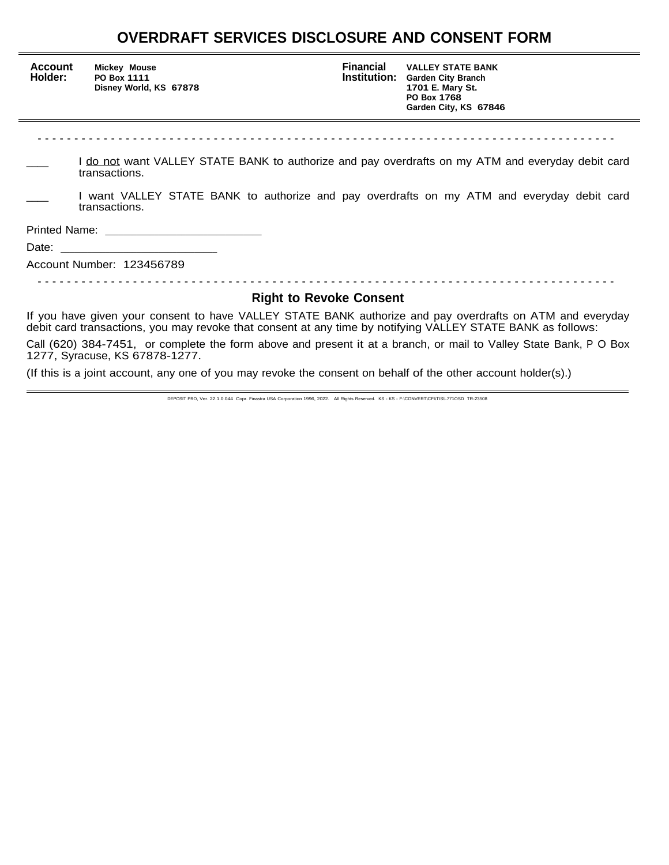## **OVERDRAFT SERVICES DISCLOSURE AND CONSENT FORM**

j.

| <b>Account</b><br>Holder:                                                                                                                                                                                                | Mickey Mouse<br>PO Box 1111<br>Disney World, KS 67878                                                       | <b>Financial</b><br><b>Institution:</b> | <b>VALLEY STATE BANK</b><br><b>Garden City Branch</b><br>1701 E. Mary St.<br>PO Box 1768<br>Garden City, KS 67846 |  |  |
|--------------------------------------------------------------------------------------------------------------------------------------------------------------------------------------------------------------------------|-------------------------------------------------------------------------------------------------------------|-----------------------------------------|-------------------------------------------------------------------------------------------------------------------|--|--|
|                                                                                                                                                                                                                          |                                                                                                             |                                         |                                                                                                                   |  |  |
| do not want VALLEY STATE BANK to authorize and pay overdrafts on my ATM and everyday debit card<br>transactions.                                                                                                         |                                                                                                             |                                         |                                                                                                                   |  |  |
|                                                                                                                                                                                                                          | I want VALLEY STATE BANK to authorize and pay overdrafts on my ATM and everyday debit card<br>transactions. |                                         |                                                                                                                   |  |  |
|                                                                                                                                                                                                                          |                                                                                                             |                                         |                                                                                                                   |  |  |
|                                                                                                                                                                                                                          |                                                                                                             |                                         |                                                                                                                   |  |  |
| Account Number: 123456789                                                                                                                                                                                                |                                                                                                             |                                         |                                                                                                                   |  |  |
|                                                                                                                                                                                                                          |                                                                                                             |                                         |                                                                                                                   |  |  |
|                                                                                                                                                                                                                          | <b>Right to Revoke Consent</b>                                                                              |                                         |                                                                                                                   |  |  |
| If you have given your consent to have VALLEY STATE BANK authorize and pay overdrafts on ATM and everyday<br>debit card transactions, you may revoke that consent at any time by notifying VALLEY STATE BANK as follows: |                                                                                                             |                                         |                                                                                                                   |  |  |
| Call (620) 384-7451, or complete the form above and present it at a branch, or mail to Valley State Bank, P O Box<br>1277, Syracuse, KS 67878-1277.                                                                      |                                                                                                             |                                         |                                                                                                                   |  |  |

(If this is a joint account, any one of you may revoke the consent on behalf of the other account holder(s).)

DEPOSIT PRO, Ver. 22.1.0.044 Copr. Finastra USA Corporation 1996, 2022. All Rights Reserved. KS - KS - F:\CONVERT\CFI\TIS\L771OSD TR-23508